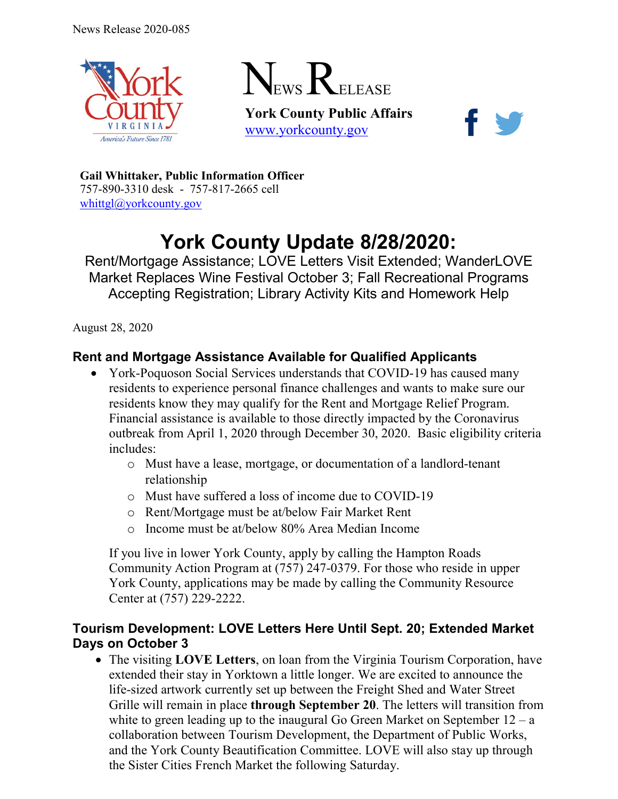



**York County Public Affairs** [www.yorkcounty.gov](http://www.yorkcounty.gov/)



**Gail Whittaker, Public Information Officer** 757-890-3310 desk - 757-817-2665 cell [whittgl@yorkcounty.gov](mailto:whittgl@yorkcounty.gov)

# **York County Update 8/28/2020:**

Rent/Mortgage Assistance; LOVE Letters Visit Extended; WanderLOVE Market Replaces Wine Festival October 3; Fall Recreational Programs Accepting Registration; Library Activity Kits and Homework Help

August 28, 2020

# **Rent and Mortgage Assistance Available for Qualified Applicants**

- York-Poquoson Social Services understands that COVID-19 has caused many residents to experience personal finance challenges and wants to make sure our residents know they may qualify for the Rent and Mortgage Relief Program. Financial assistance is available to those directly impacted by the Coronavirus outbreak from April 1, 2020 through December 30, 2020. Basic eligibility criteria includes:
	- o Must have a lease, mortgage, or documentation of a landlord-tenant relationship
	- o Must have suffered a loss of income due to COVID-19
	- o Rent/Mortgage must be at/below Fair Market Rent
	- o Income must be at/below 80% Area Median Income

If you live in lower York County, apply by calling the Hampton Roads Community Action Program at (757) 247-0379. For those who reside in upper York County, applications may be made by calling the Community Resource Center at (757) 229-2222.

#### **Tourism Development: LOVE Letters Here Until Sept. 20; Extended Market Days on October 3**

• The visiting **LOVE Letters**, on loan from the Virginia Tourism Corporation, have extended their stay in Yorktown a little longer. We are excited to announce the life-sized artwork currently set up between the Freight Shed and Water Street Grille will remain in place **through September 20**. The letters will transition from white to green leading up to the inaugural Go Green Market on September  $12 - a$ collaboration between Tourism Development, the Department of Public Works, and the York County Beautification Committee. LOVE will also stay up through the Sister Cities French Market the following Saturday.